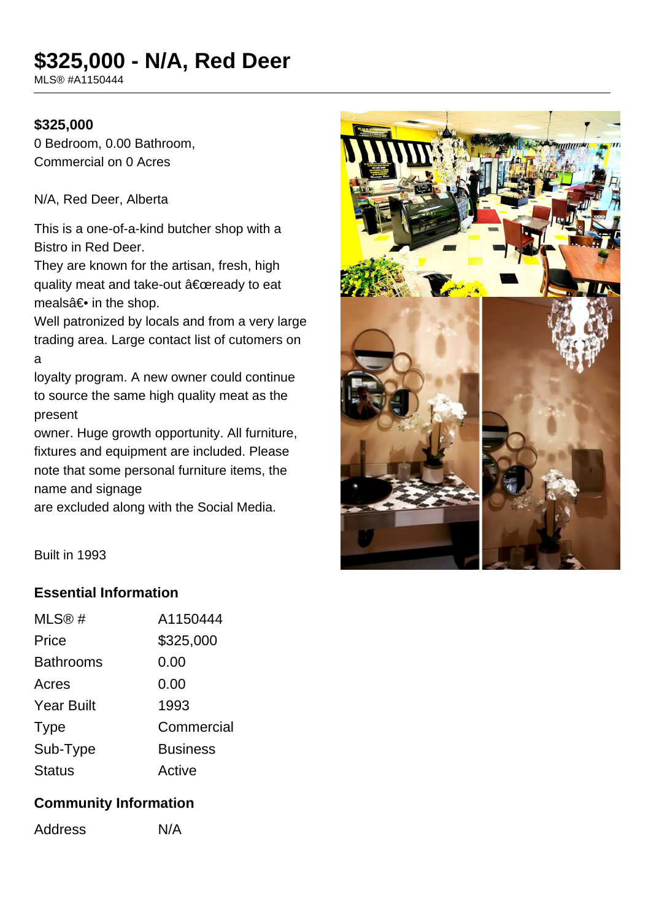# **\$325,000 - N/A, Red Deer**

MLS® #A1150444

#### **\$325,000**

0 Bedroom, 0.00 Bathroom, Commercial on 0 Acres

N/A, Red Deer, Alberta

This is a one-of-a-kind butcher shop with a Bistro in Red Deer.

They are known for the artisan, fresh, high quality meat and take-out "ready to eat meals $a \in \bullet$  in the shop.

Well patronized by locals and from a very large trading area. Large contact list of cutomers on a

loyalty program. A new owner could continue to source the same high quality meat as the present

owner. Huge growth opportunity. All furniture, fixtures and equipment are included. Please note that some personal furniture items, the name and signage

are excluded along with the Social Media.



Built in 1993

## **Essential Information**

| MLS@#             | A1150444        |
|-------------------|-----------------|
| Price             | \$325,000       |
| <b>Bathrooms</b>  | 0.00            |
| Acres             | 0.00            |
| <b>Year Built</b> | 1993            |
| <b>Type</b>       | Commercial      |
| Sub-Type          | <b>Business</b> |
| <b>Status</b>     | Active          |

## **Community Information**

Address N/A